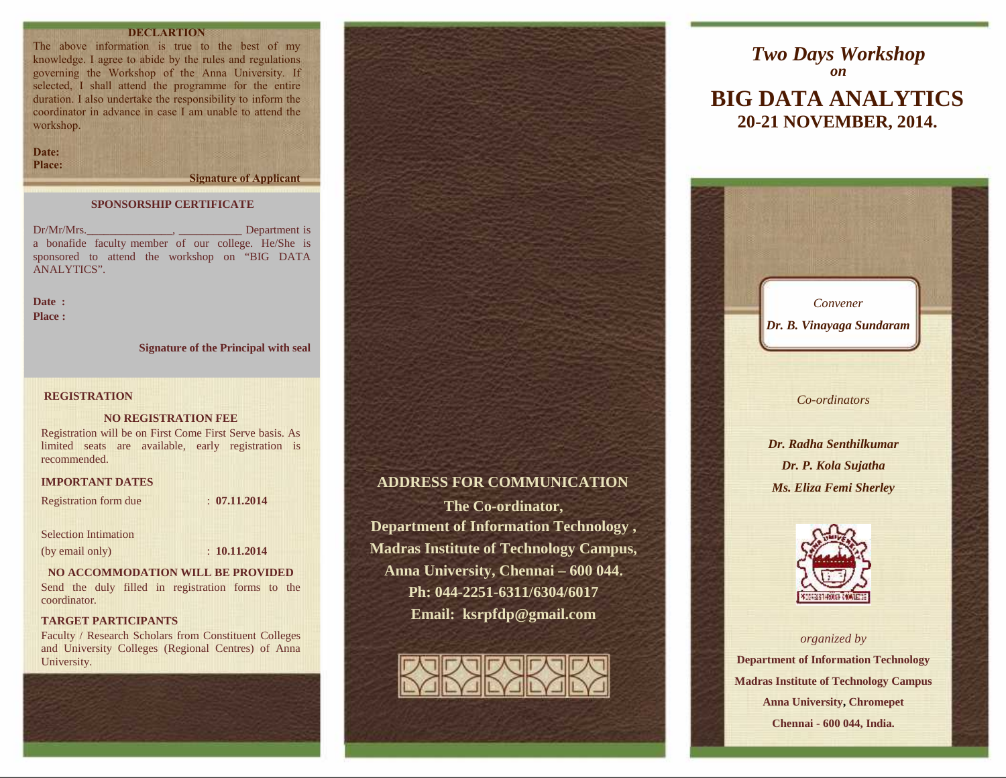# **DECLARTION**

The above information is true to the best of my knowledge. I agree to abide by the rules and regulations governing the Workshop of the Anna University. If selected, I shall attend the programme for the entire duration. I also undertake the responsibility to inform the coordinator in advance in case I am unable to attend the workshop.

**Date: Place:**

**Signature of Applicant**

### **SPONSORSHIP CERTIFICATE**

Dr/Mr/Mrs. Department is a bonafide faculty member of our college. He/She is sponsored to attend the workshop on "BIG DATA ANALYTICS".

**Date : Place :**

**Signature of the Principal with seal**

### **REGISTRATION**

### **NO REGISTRATION FEE**

Registration will be on First Come First Serve basis. As limited seats are available, early registration is recommended.

### **IMPORTANT DATES**

Registration form due : **07.11.2014**

### Selection Intimation

(by email only) : **10.11.2014**

### **NO ACCOMMODATION WILL BE PROVIDED**

Send the duly filled in registration forms to the coordinator.

# **TARGET PARTICIPANTS**

Faculty / Research Scholars from Constituent Colleges and University Colleges (Regional Centres) of Anna University.





# **ADDRESS FOR COMMUNICATION**

**The Co-ordinator, Department of Information Technology , Madras Institute of Technology Campus, Anna University, Chennai – 600 044. Ph: 044-2251-6311/6304/6017 Email: ksrpfdp@gmail.com**



# **BIG DATA ANALYTICS 20-21 NOVEMBER, 2014.** *Two Days Workshop on*





### *organized by*

**Department of Information Technology Madras Institute of Technology Campus Anna University, Chromepet Chennai - 600 044, India.**